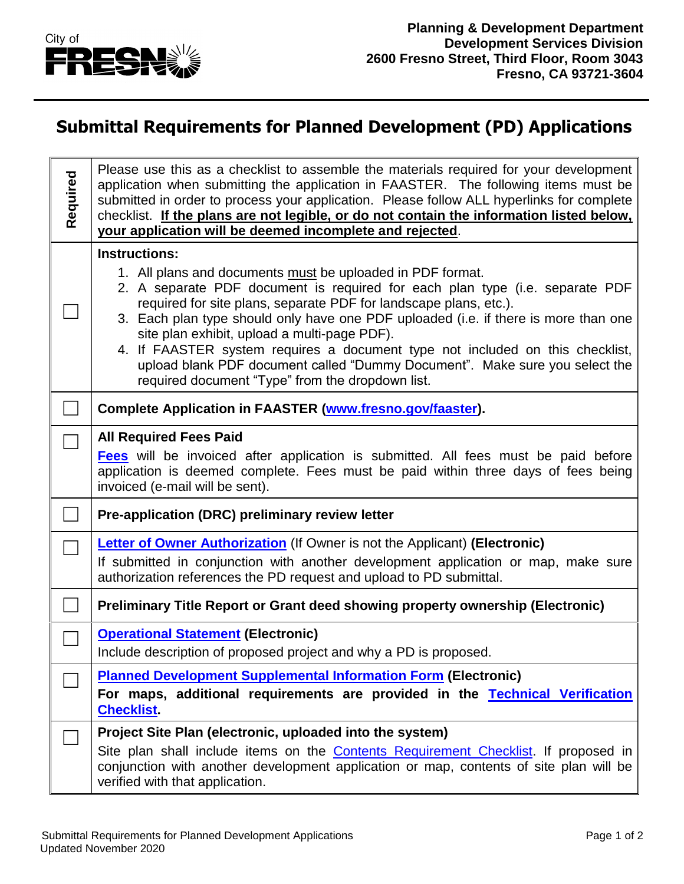

## **Submittal Requirements for Planned Development (PD) Applications**

| Required | Please use this as a checklist to assemble the materials required for your development<br>application when submitting the application in FAASTER. The following items must be<br>submitted in order to process your application. Please follow ALL hyperlinks for complete<br>checklist. If the plans are not legible, or do not contain the information listed below,<br>your application will be deemed incomplete and rejected.                                                                                                                                                                 |
|----------|----------------------------------------------------------------------------------------------------------------------------------------------------------------------------------------------------------------------------------------------------------------------------------------------------------------------------------------------------------------------------------------------------------------------------------------------------------------------------------------------------------------------------------------------------------------------------------------------------|
|          | <b>Instructions:</b><br>1. All plans and documents must be uploaded in PDF format.<br>2. A separate PDF document is required for each plan type (i.e. separate PDF<br>required for site plans, separate PDF for landscape plans, etc.).<br>3. Each plan type should only have one PDF uploaded (i.e. if there is more than one<br>site plan exhibit, upload a multi-page PDF).<br>4. If FAASTER system requires a document type not included on this checklist,<br>upload blank PDF document called "Dummy Document". Make sure you select the<br>required document "Type" from the dropdown list. |
|          | Complete Application in FAASTER (www.fresno.gov/faaster).                                                                                                                                                                                                                                                                                                                                                                                                                                                                                                                                          |
|          | <b>All Required Fees Paid</b><br><b>Fees</b> will be invoiced after application is submitted. All fees must be paid before<br>application is deemed complete. Fees must be paid within three days of fees being<br>invoiced (e-mail will be sent).                                                                                                                                                                                                                                                                                                                                                 |
|          | Pre-application (DRC) preliminary review letter                                                                                                                                                                                                                                                                                                                                                                                                                                                                                                                                                    |
|          | Letter of Owner Authorization (If Owner is not the Applicant) (Electronic)<br>If submitted in conjunction with another development application or map, make sure<br>authorization references the PD request and upload to PD submittal.                                                                                                                                                                                                                                                                                                                                                            |
|          | Preliminary Title Report or Grant deed showing property ownership (Electronic)                                                                                                                                                                                                                                                                                                                                                                                                                                                                                                                     |
|          | <b>Operational Statement (Electronic)</b><br>Include description of proposed project and why a PD is proposed.                                                                                                                                                                                                                                                                                                                                                                                                                                                                                     |
|          | <b>Planned Development Supplemental Information Form (Electronic)</b>                                                                                                                                                                                                                                                                                                                                                                                                                                                                                                                              |
|          | For maps, additional requirements are provided in the Technical Verification<br><b>Checklist.</b>                                                                                                                                                                                                                                                                                                                                                                                                                                                                                                  |